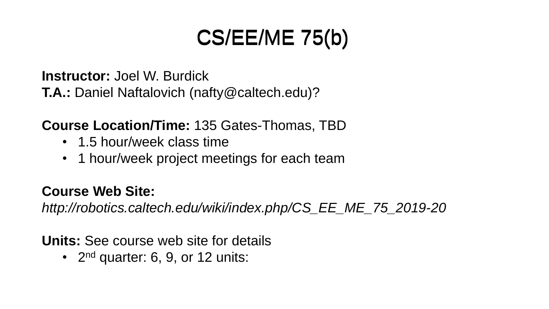# CS/EE/ME 75(b) CS/EE/ME 75(b)

**Instructor:** Joel W. Burdick

**T.A.:** Daniel Naftalovich (nafty@caltech.edu)?

**Course Location/Time:** 135 Gates-Thomas, TBD

- 1.5 hour/week class time
- 1 hour/week project meetings for each team

### **Course Web Site:**

*http://robotics.caltech.edu/wiki/index.php/CS\_EE\_ME\_75\_2019-20*

**Units:** See course web site for details

• 2<sup>nd</sup> quarter: 6, 9, or 12 units: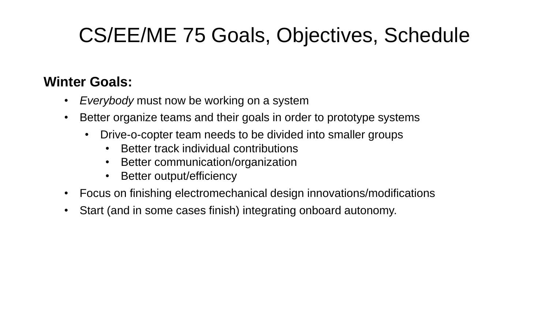### CS/EE/ME 75 Goals, Objectives, Schedule

#### **Winter Goals:**

- *Everybody* must now be working on a system
- Better organize teams and their goals in order to prototype systems
	- Drive-o-copter team needs to be divided into smaller groups
		- Better track individual contributions
		- Better communication/organization
		- Better output/efficiency
- Focus on finishing electromechanical design innovations/modifications
- Start (and in some cases finish) integrating onboard autonomy.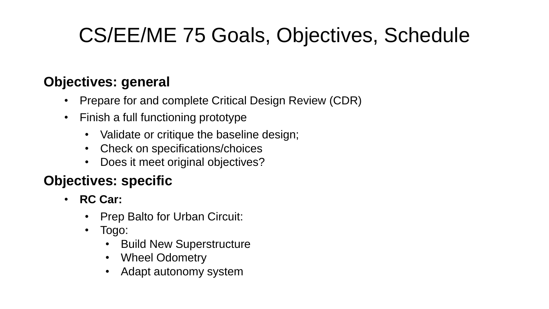## CS/EE/ME 75 Goals, Objectives, Schedule

#### **Objectives: general**

- Prepare for and complete Critical Design Review (CDR)
- Finish a full functioning prototype
	- Validate or critique the baseline design;
	- Check on specifications/choices
	- Does it meet original objectives?

### **Objectives: specific**

- **RC Car:**
	- Prep Balto for Urban Circuit:
	- Togo:
		- Build New Superstructure
		- Wheel Odometry
		- Adapt autonomy system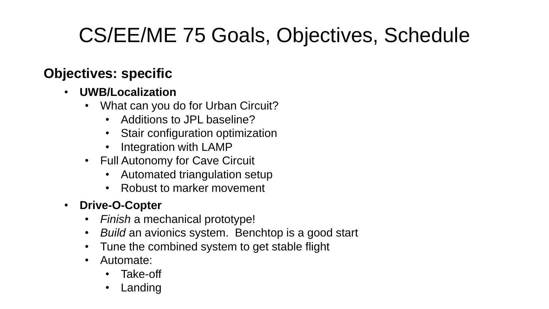## CS/EE/ME 75 Goals, Objectives, Schedule

#### **Objectives: specific**

#### • **UWB/Localization**

- What can you do for Urban Circuit?
	- Additions to JPL baseline?
	- Stair configuration optimization
	- Integration with LAMP
- Full Autonomy for Cave Circuit
	- Automated triangulation setup
	- Robust to marker movement
- **Drive-O-Copter**
	- *Finish* a mechanical prototype!
	- *Build* an avionics system. Benchtop is a good start
	- Tune the combined system to get stable flight
	- Automate:
		- Take-off
		- Landing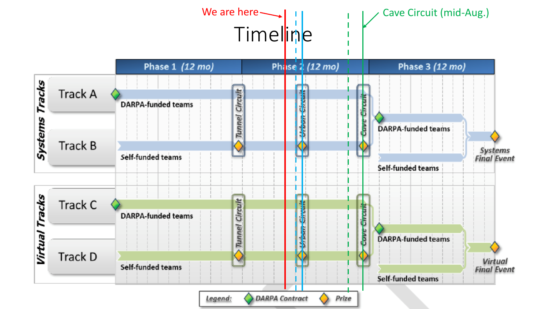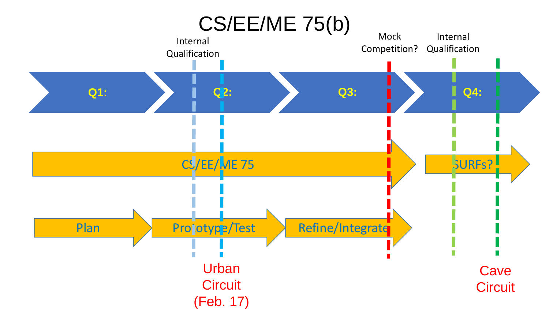